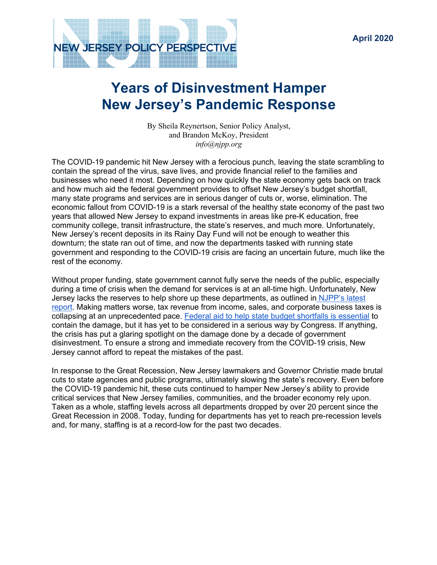

# **Years of Disinvestment Hamper New Jersey's Pandemic Response**

By Sheila Reynertson, Senior Policy Analyst, and Brandon McKoy, President *info@njpp.org*

The COVID-19 pandemic hit New Jersey with a ferocious punch, leaving the state scrambling to contain the spread of the virus, save lives, and provide financial relief to the families and businesses who need it most. Depending on how quickly the state economy gets back on track and how much aid the federal government provides to offset New Jersey's budget shortfall, many state programs and services are in serious danger of cuts or, worse, elimination. The economic fallout from COVID-19 is a stark reversal of the healthy state economy of the past two years that allowed New Jersey to expand investments in areas like pre-K education, free community college, transit infrastructure, the state's reserves, and much more. Unfortunately, New Jersey's recent deposits in its Rainy Day Fund will not be enough to weather this downturn; the state ran out of time, and now the departments tasked with running state government and responding to the COVID-19 crisis are facing an uncertain future, much like the rest of the economy.

Without proper funding, state government cannot fully serve the needs of the public, especially during a time of crisis when the demand for services is at an all-time high. Unfortunately, New Jersey lacks the reserves to help shore up these departments, as outlined in NJPP's latest report. Making matters worse, tax revenue from income, sales, and corporate business taxes is collapsing at an unprecedented pace. Federal aid to help state budget shortfalls is essential to contain the damage, but it has yet to be considered in a serious way by Congress. If anything, the crisis has put a glaring spotlight on the damage done by a decade of government disinvestment. To ensure a strong and immediate recovery from the COVID-19 crisis, New Jersey cannot afford to repeat the mistakes of the past.

In response to the Great Recession, New Jersey lawmakers and Governor Christie made brutal cuts to state agencies and public programs, ultimately slowing the state's recovery. Even before the COVID-19 pandemic hit, these cuts continued to hamper New Jersey's ability to provide critical services that New Jersey families, communities, and the broader economy rely upon. Taken as a whole, staffing levels across all departments dropped by over 20 percent since the Great Recession in 2008. Today, funding for departments has yet to reach pre-recession levels and, for many, staffing is at a record-low for the past two decades.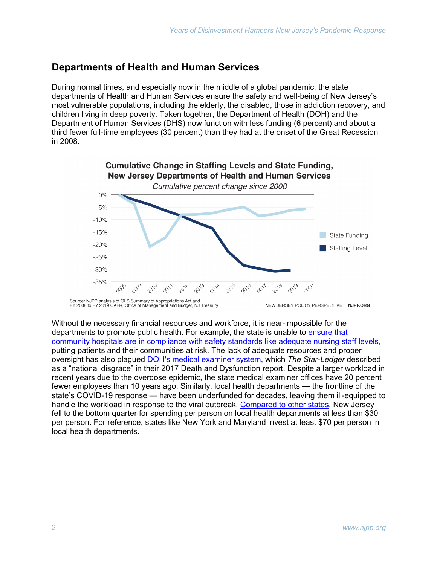## **Departments of Health and Human Services**

During normal times, and especially now in the middle of a global pandemic, the state departments of Health and Human Services ensure the safety and well-being of New Jersey's most vulnerable populations, including the elderly, the disabled, those in addiction recovery, and children living in deep poverty. Taken together, the Department of Health (DOH) and the Department of Human Services (DHS) now function with less funding (6 percent) and about a third fewer full-time employees (30 percent) than they had at the onset of the Great Recession in 2008.



Without the necessary financial resources and workforce, it is near-impossible for the departments to promote public health. For example, the state is unable to ensure that community hospitals are in compliance with safety standards like adequate nursing staff levels, putting patients and their communities at risk. The lack of adequate resources and proper oversight has also plagued DOH's medical examiner system, which *The Star-Ledger* described as a "national disgrace" in their 2017 Death and Dysfunction report. Despite a larger workload in recent years due to the overdose epidemic, the state medical examiner offices have 20 percent fewer employees than 10 years ago. Similarly, local health departments — the frontline of the state's COVID-19 response — have been underfunded for decades, leaving them ill-equipped to handle the workload in response to the viral outbreak. Compared to other states, New Jersey fell to the bottom quarter for spending per person on local health departments at less than \$30 per person. For reference, states like New York and Maryland invest at least \$70 per person in local health departments.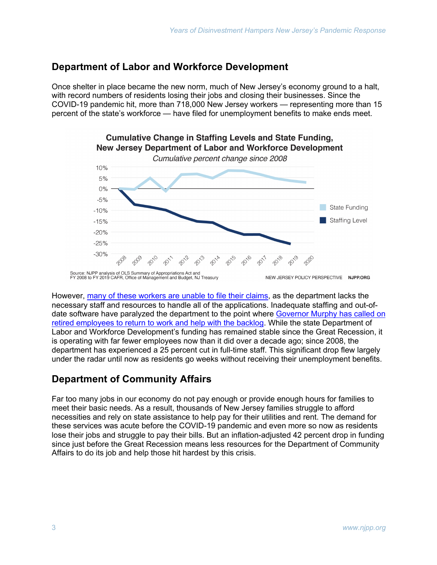### **Department of Labor and Workforce Development**

Once shelter in place became the new norm, much of New Jersey's economy ground to a halt, with record numbers of residents losing their jobs and closing their businesses. Since the COVID-19 pandemic hit, more than 718,000 New Jersey workers — representing more than 15 percent of the state's workforce — have filed for unemployment benefits to make ends meet.



**Cumulative Change in Staffing Levels and State Funding,** 

However, many of these workers are unable to file their claims, as the department lacks the necessary staff and resources to handle all of the applications. Inadequate staffing and out-ofdate software have paralyzed the department to the point where Governor Murphy has called on retired employees to return to work and help with the backlog. While the state Department of Labor and Workforce Development's funding has remained stable since the Great Recession, it is operating with far fewer employees now than it did over a decade ago; since 2008, the department has experienced a 25 percent cut in full-time staff. This significant drop flew largely under the radar until now as residents go weeks without receiving their unemployment benefits.

### **Department of Community Affairs**

Far too many jobs in our economy do not pay enough or provide enough hours for families to meet their basic needs. As a result, thousands of New Jersey families struggle to afford necessities and rely on state assistance to help pay for their utilities and rent. The demand for these services was acute before the COVID-19 pandemic and even more so now as residents lose their jobs and struggle to pay their bills. But an inflation-adjusted 42 percent drop in funding since just before the Great Recession means less resources for the Department of Community Affairs to do its job and help those hit hardest by this crisis.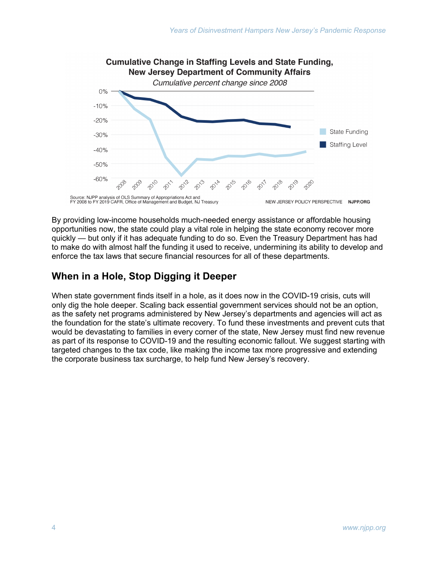

By providing low-income households much-needed energy assistance or affordable housing opportunities now, the state could play a vital role in helping the state economy recover more quickly — but only if it has adequate funding to do so. Even the Treasury Department has had to make do with almost half the funding it used to receive, undermining its ability to develop and enforce the tax laws that secure financial resources for all of these departments.

# **When in a Hole, Stop Digging it Deeper**

When state government finds itself in a hole, as it does now in the COVID-19 crisis, cuts will only dig the hole deeper. Scaling back essential government services should not be an option, as the safety net programs administered by New Jersey's departments and agencies will act as the foundation for the state's ultimate recovery. To fund these investments and prevent cuts that would be devastating to families in every corner of the state, New Jersey must find new revenue as part of its response to COVID-19 and the resulting economic fallout. We suggest starting with targeted changes to the tax code, like making the income tax more progressive and extending the corporate business tax surcharge, to help fund New Jersey's recovery.